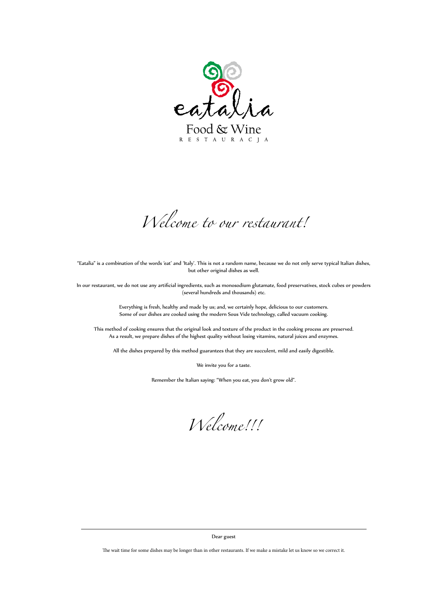

Food & Wine R E S T A U R A C J A

*Welcome to our restaurant!*

*Welcome!!!*

"Eatalia" is a combination of the words 'eat' and 'Italy'. This is not a random name, because we do not only serve typical Italian dishes, but other original dishes as well.

In our restaurant, we do not use any artificial ingredients, such as monosodium glutamate, food preservatives, stock cubes or powders (several hundreds and thousands) etc.

> Everything is fresh, healthy and made by us; and, we certainly hope, delicious to our customers. Some of our dishes are cooked using the modern Sous Vide technology, called vacuum cooking.

This method of cooking ensures that the original look and texture of the product in the cooking process are preserved. As a result, we prepare dishes of the highest quality without losing vitamins, natural juices and enzymes.

All the dishes prepared by this method guarantees that they are succulent, mild and easily digestible.

We invite you for a taste.

Remember the Italian saying: "When you eat, you don't grow old".

## Dear guest

The wait time for some dishes may be longer than in other restaurants. If we make a mistake let us know so we correct it.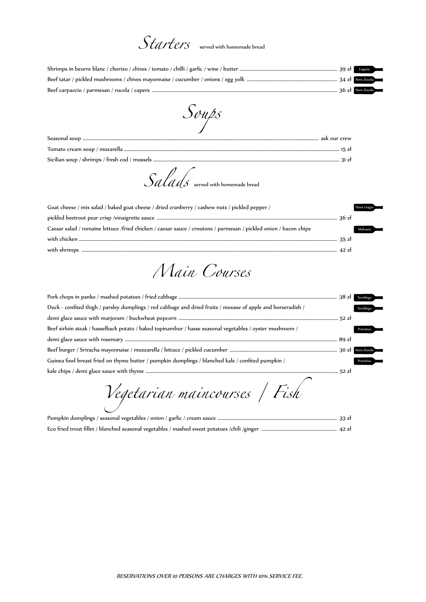## *Starters* served with homemade bread

| Goat cheese / mix salad / baked goat cheese / dried cranberry / cashew nuts / pickled pepper /                   | Pinot Grigio $\equiv$ |
|------------------------------------------------------------------------------------------------------------------|-----------------------|
|                                                                                                                  |                       |
| Caesar salad / romaine lettuce /fried chicken / caesar sauce / croutons / parmesan / pickled onion / bacon chips | Malvasia              |
|                                                                                                                  |                       |
|                                                                                                                  |                       |

*Salads* served with homemade bread

*Soups*

*Main Courses*

Pumpkin dumplings / seasonal vegetables / onion / garlic / cream sauce ................................................................................................... 33 zł Eco fried trout fillet / blanched seasonal vegetables / mashed sweet potatoes /chili /ginger ............................................................... 42 zł

*Vegetarian maincourses / Fish*

|                                                                                                              | Teroldego |
|--------------------------------------------------------------------------------------------------------------|-----------|
| Duck - confited thigh / parsley dumplings / red cabbage and dried fruits / mousse of apple and horseradish / | Teroldego |
|                                                                                                              |           |
| Beef sirloin steak / hasselback potato / baked topinambur / hasse seasonal vegetables / oyster mushroom /    | Primitivo |
|                                                                                                              |           |
|                                                                                                              |           |
| Guinea fowl breast fried on thyme butter / pumpkin dumplings / blanched kale / confited pumpkin /            | Primitivo |
|                                                                                                              |           |

RESERVATIONS OVER 10 PERSONS ARE CHARGES WITH 10% SERVICE FEE.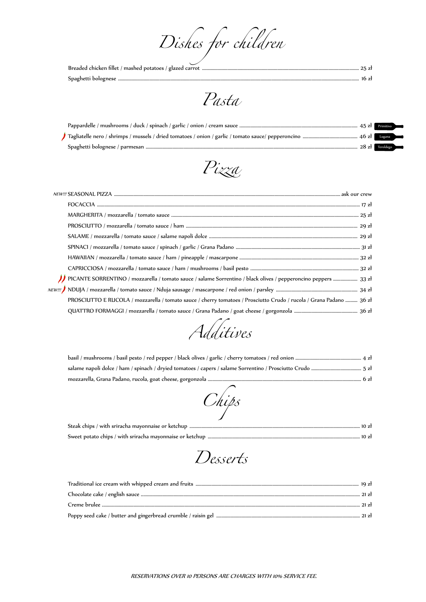*Dishes for children*

RESERVATIONS OVER 10 PERSONS ARE CHARGES WITH 10% SERVICE FEE.

*Pasta*

|  |  | $28z1$ Teroldego |  |
|--|--|------------------|--|

*Additives*

Steak chips / with sriracha mayonnaise or ketchup ............................................................................................................................................. 10 zł Sweet potato chips / with sriracha mayonnaise or ketchup .............................................................................................................................. 10 zł

*Chips*

*Pizza*

| // PICANTE SORRENTINO / mozzarella / tomato sauce / salame Sorrentino / black olives / pepperoncino peppers  33 zł  |
|---------------------------------------------------------------------------------------------------------------------|
|                                                                                                                     |
| PROSCIUTTO E RUCOLA / mozzarella / tomato sauce / cherry tomatoes / Prosciutto Crudo / rucola / Grana Padano  36 zł |
|                                                                                                                     |

*Desserts*